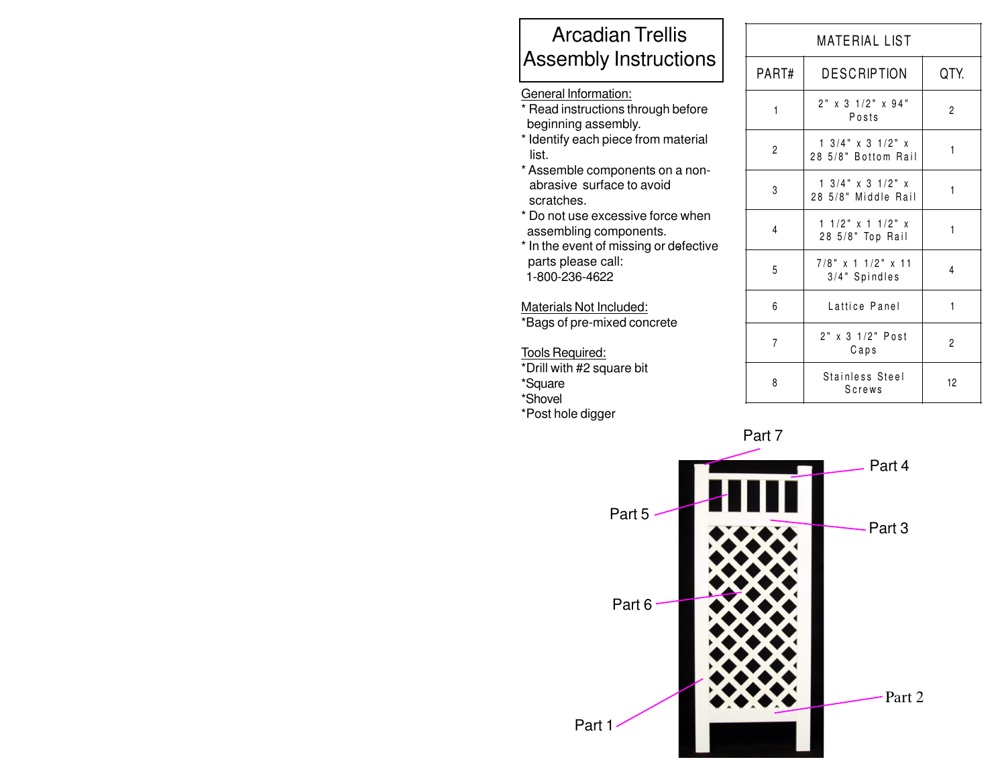## Arcadian Trellis Assembly Instructions

## General Information:

- \* Read instructions through before beginning assembly.
- \* Identify each piece from material list.
- \* Assemble components on a non abrasive surface to avoid scratches.
- \* Do not use excessive force when assembling components.
- \* In the event of missing or defective parts please call: 1-800-236-4622

## Materials Not Included:

\*Bags of pre-mixed concrete

Tools Required: \*Drill with #2 square bit \*Square \*Shovel \*Post hole digger

| MATERIAL LIST  |                                                                |      |
|----------------|----------------------------------------------------------------|------|
| PART#          | <b>DESCRIPTION</b>                                             | QTY. |
| $\mathbf{1}$   | $2"$ x 3 1/2" x 94"<br>Posts                                   | 2    |
| $\overline{c}$ | $1 \frac{3}{4}$ " x 3 $\frac{1}{2}$ " x<br>28 5/8" Bottom Rail | 1    |
| 3              | $1 \frac{3}{4}$ " x 3 $\frac{1}{2}$ " x<br>28 5/8" Middle Rail | 1    |
| 4              | $11/2$ " x 1 1/2" x<br>28 5/8" Top Rail                        | 1    |
| 5              | 7/8" x 1 1/2" x 11<br>3/4" Spindles                            | 4    |
| 6              | Lattice Panel                                                  | 1    |
| 7              | 2" x 3 1/2" Post<br>Caps                                       | 2    |
| 8              | Stainless Steel<br>Screws                                      | 12   |

Part 7